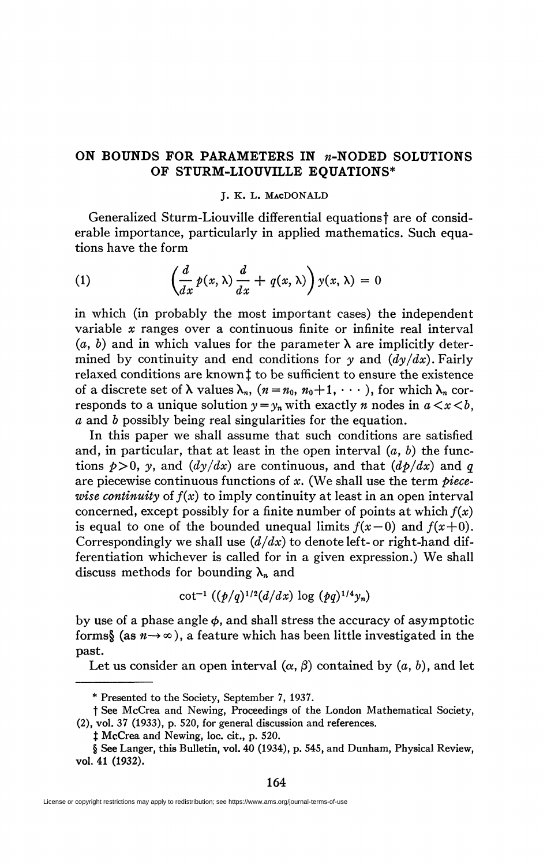## ON BOUNDS FOR PARAMETERS IN *n*-NODED SOLUTIONS **OF STURM-LIOUVILLE EQUATIONS\***

## J. K. L. MACDONALD

Generalized Sturm-Liouville differential equations<sup>†</sup> are of considerable importance, particularly in applied mathematics. Such equations have the form

(1) 
$$
\left(\frac{d}{dx}p(x,\lambda)\frac{d}{dx}+q(x,\lambda)\right)y(x,\lambda)=0
$$

in which (in probably the most important cases) the independent variable *x* ranges over a continuous finite or infinite real interval  $(a, b)$  and in which values for the parameter  $\lambda$  are implicitly determined by continuity and end conditions for *y* and *(dy/dx).* Fairly relaxed conditions are known! to be sufficient to ensure the existence of a discrete set of  $\lambda$  values  $\lambda_n$ ,  $(n = n_0, n_0+1, \cdots)$ , for which  $\lambda_n$  corresponds to a unique solution  $y = y_n$  with exactly *n* nodes in  $a \le x \le b$ . *a* and *b* possibly being real singularities for the equation.

In this paper we shall assume that such conditions are satisfied and, in particular, that at least in the open interval (a, *b)* the functions  $p > 0$ *, y*, and  $\left(\frac{dy}{dx}\right)$  are continuous, and that  $\left(\frac{dp}{dx}\right)$  and  $q$ are piecewise continuous functions of *x.* (We shall use the term *piecewise continuity* of  $f(x)$  to imply continuity at least in an open interval concerned, except possibly for a finite number of points at which *f(x)*  is equal to one of the bounded unequal limits  $f(x-0)$  and  $f(x+0)$ . Correspondingly we shall use *(d/dx)* to denote left- or right-hand differentiation whichever is called for in a given expression.) We shall discuss methods for bounding  $\lambda_n$  and

$$
\cot^{-1} ((p/q)^{1/2} (d/dx) \log (pq)^{1/4} y_n)
$$

by use of a phase angle  $\phi$ , and shall stress the accuracy of asymptotic forms§ (as  $n \rightarrow \infty$ ), a feature which has been little investigated in the past.

Let us consider an open interval  $(\alpha, \beta)$  contained by  $(a, b)$ , and let

<sup>\*</sup> Presented to the Society, September 7, 1937.

t See McCrea and Newing, Proceedings of the London Mathematical Society, (2), vol. 37 (1933), p. 520, for general discussion and references.

 $\ddagger$  McCrea and Newing, loc. cit., p. 520.

<sup>§</sup> See Langer, this Bulletin, vol. 40 (1934), p. 545, and Dunham, Physical Review, vol. 41 (1932).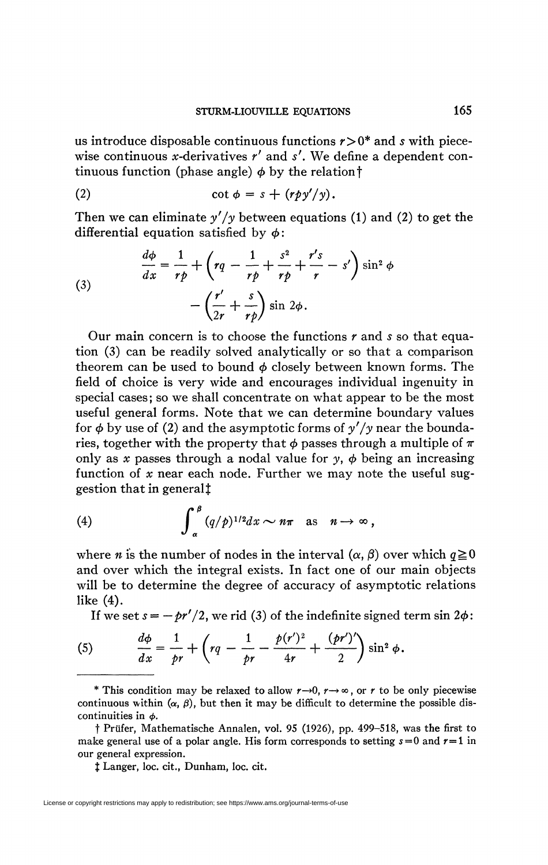us introduce disposable continuous functions *r>0\** and *s* with piecewise continuous x-derivatives *r'* and *s'.* We define a dependent continuous function (phase angle)  $\phi$  by the relation  $\dagger$ 

(2) 
$$
\cot \phi = s + (r p y'/y).
$$

Then we can eliminate *y'/y* between equations (1) and (2) to get the differential equation satisfied by  $\phi$ :

(3)  

$$
\frac{d\phi}{dx} = \frac{1}{r\rho} + \left(rq - \frac{1}{r\rho} + \frac{s^2}{r\rho} + \frac{r's}{r} - s'\right) \sin^2 \phi
$$

$$
- \left(\frac{r'}{2r} + \frac{s}{r\rho}\right) \sin 2\phi.
$$

Our main concern is to choose the functions  $r$  and  $s$  so that equa*z* tion (3) can be readily solved analytically or so that a comparison theorem can be used to bound  $\phi$  closely between known forms. The field of choice is very wide and encourages individual ingenuity in special cases; so we shall concentrate on what appear to be the most useful general forms. Note that we can determine boundary values for  $\phi$  by use of (2) and the asymptotic forms of  $\gamma'/\gamma$  near the boundaries, together with the property that  $\phi$  passes through a multiple of  $\pi$ only as x passes through a nodal value for  $y$ ,  $\phi$  being an increasing function of x near each node. Further we may note the useful suggestion that in general<sup>†</sup>

(4) 
$$
\int_{\alpha}^{\beta} (q/p)^{1/2} dx \sim n\pi \text{ as } n \to \infty,
$$

where *n* is the number of nodes in the interval  $(\alpha, \beta)$  over which  $q \ge 0$ and over which the integral exists. In fact one of our main objects where the number of the number of a secure of a sex motor calculations  $\frac{1}{\ln 2}$  and  $\frac{1}{\ln 2}$  is the integral existence of our main objects. In fact one of our main objects.

 $\frac{1}{2}$  we set  $s = -\frac{b\ell}{2}$  we rid (3) of the indefinite signed term sin  $2\delta$ .  $\overline{a}$ .

(5) 
$$
\frac{d\phi}{dx} = \frac{1}{pr} + \left( rq - \frac{1}{pr} - \frac{p(r')^2}{4r} + \frac{(pr')'}{2} \right) \sin^2 \phi.
$$

*dx pr \ pr 4r* 2 / \* This condition may be relaxed to allow *r—*»0, r—> oo, or *r* to be only piecewise continuous within  $(\alpha, \beta)$ , but then it may be difficult to determine the possible discontinuities in  $\phi$ .

t Prüfer, Mathematische Annalen, vol. 95 (1926), pp. 499-518, was the first to make general use of a polar angle. His form corresponds to setting  $s=0$  and  $r=1$  in our general expression.

*X* Langer, loc. cit., Dunham, loc. cit.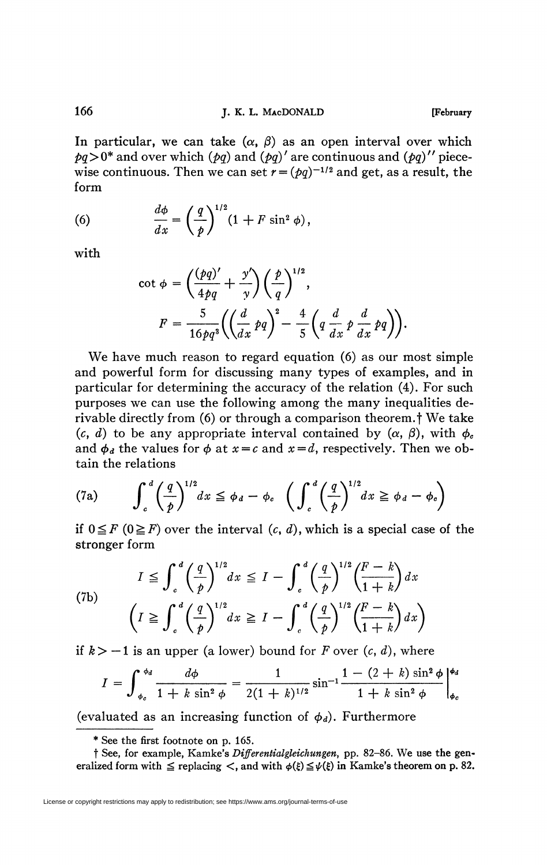In particular, we can take  $(\alpha, \beta)$  as an open interval over which  $pq>0^*$  and over which  $(pq)$  and  $(pq)'$  are continuous and  $(pq)''$  piecewise continuous. Then we can set  $r = (pq)^{-1/2}$  and get, as a result, the form

(6) 
$$
\frac{d\phi}{dx} = \left(\frac{q}{p}\right)^{1/2} (1 + F \sin^2 \phi),
$$

with

$$
\cot \phi = \left(\frac{(pq)'}{4pq} + \frac{y'}{y}\right) \left(\frac{p}{q}\right)^{1/2},
$$

$$
F = \frac{5}{16pq^3} \left(\left(\frac{d}{dx}pq\right)^2 - \frac{4}{5}\left(q\frac{d}{dx}p\frac{d}{dx}pq\right)\right).
$$

We have much reason to regard equation (6) as our most simple and powerful form for discussing many types of examples, and in particular for determining the accuracy of the relation (4). For such purposes we can use the following among the many inequalities derivable directly from (6) or through a comparison theorem.f We take (c, d) to be any appropriate interval contained by  $(\alpha, \beta)$ , with  $\phi_c$ and  $\phi_d$  the values for  $\phi$  at  $x = c$  and  $x = d$ , respectively. Then we obtain the relations

(7a) 
$$
\int_{c}^{d} \left(\frac{q}{p}\right)^{1/2} dx \leq \phi_{d} - \phi_{c} \left(\int_{c}^{d} \left(\frac{q}{p}\right)^{1/2} dx \geq \phi_{d} - \phi_{c}\right)
$$

if  $0 \leq F$  ( $0 \geq F$ ) over the interval  $(c, d)$ , which is a special case of the stronger form

(7b)  

$$
I \leq \int_c^d \left(\frac{q}{p}\right)^{1/2} dx \leq I - \int_c^d \left(\frac{q}{p}\right)^{1/2} \left(\frac{F-k}{1+k}\right) dx
$$

$$
\left(I \geq \int_c^d \left(\frac{q}{p}\right)^{1/2} dx \geq I - \int_c^d \left(\frac{q}{p}\right)^{1/2} \left(\frac{F-k}{1+k}\right) dx\right)
$$

if  $k > -1$  is an upper (a lower) bound for *F* over  $(c, d)$ , where

$$
I = \int_{\phi_c}^{\phi_d} \frac{d\phi}{1 + k \sin^2 \phi} = \frac{1}{2(1 + k)^{1/2}} \sin^{-1} \frac{1 - (2 + k) \sin^2 \phi}{1 + k \sin^2 \phi} \Big|_{\phi_c}^{\phi_d}
$$

(evaluated as an increasing function of  $\phi_d$ ). Furthermore

<sup>\*</sup> See the first footnote on p. 165.

t See, for example, Kamke's *Dijferentialgleichungen,* pp. 82-86. We use the generalized form with  $\leq$  replacing  $\lt$ , and with  $\phi(\xi) \leq \psi(\xi)$  in Kamke's theorem on p. 82.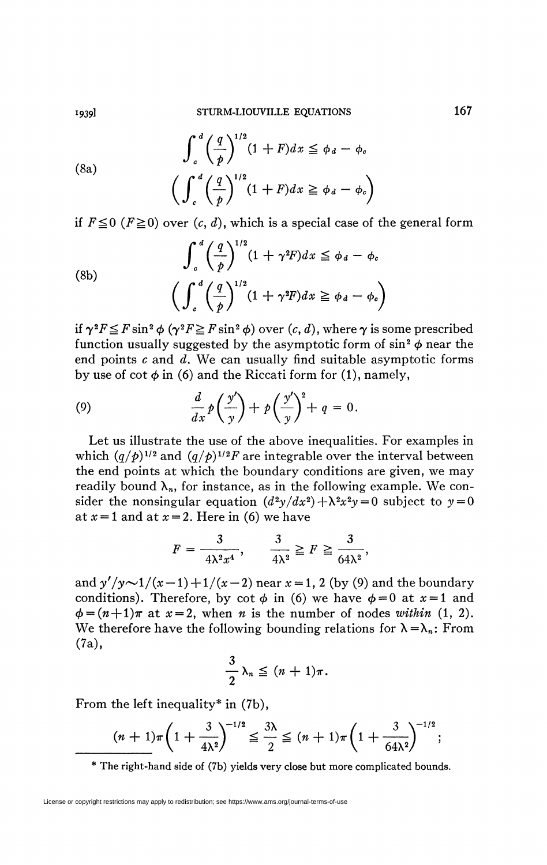(8a)
$$
\int_{c}^{d} \left(\frac{q}{p}\right)^{1/2} (1+F) dx \leq \phi_{d} - \phi_{c}
$$

$$
\left(\int_{c}^{d} \left(\frac{q}{p}\right)^{1/2} (1+F) dx \geq \phi_{d} - \phi_{c}\right)
$$

if  $F \le 0$  ( $F \ge 0$ ) over (c, d), which is a special case of the general form

(8b)
$$
\int_{c}^{d} \left(\frac{q}{p}\right)^{1/2} (1 + \gamma^{2}F) dx \leq \phi_{d} - \phi_{c}
$$

$$
\left(\int_{c}^{d} \left(\frac{q}{p}\right)^{1/2} (1 + \gamma^{2}F) dx \geq \phi_{d} - \phi_{c}\right)
$$

if  $\gamma^2 F \leq F \sin^2 \phi$   $(\gamma^2 F \geq F \sin^2 \phi)$  over  $(c, d)$ , where  $\gamma$  is some prescribed function usually suggested by the asymptotic form of  $\sin^2\phi$  near the end points *c* and *d.* We can usually find suitable asymptotic forms by use of cot  $\phi$  in (6) and the Riccati form for (1), namely,

(9) 
$$
\frac{d}{dx}p\left(\frac{y'}{y}\right) + p\left(\frac{y'}{y}\right)^2 + q = 0.
$$

Let us illustrate the use of the above inequalities. For examples in which  $(q/p)^{1/2}$  and  $(q/p)^{1/2}F$  are integrable over the interval between the end points at which the boundary conditions are given, we may readily bound  $\lambda_n$ , for instance, as in the following example. We consider the nonsingular equation  $(d^2y/dx^2) + \lambda^2x^2y = 0$  subject to  $y = 0$ at  $x=1$  and at  $x=2$ . Here in (6) we have

$$
F = \frac{3}{4\lambda^2 x^4}, \qquad \frac{3}{4\lambda^2} \ge F \ge \frac{3}{64\lambda^2},
$$

and  $y'/y \sim 1/(x-1) + 1/(x-2)$  near  $x = 1$ , 2 (by (9) and the boundary conditions). Therefore, by cot  $\phi$  in (6) we have  $\phi = 0$  at  $x = 1$  and  $\phi = (n+1)\pi$  at  $x = 2$ , when *n* is the number of nodes *within* (1, 2). We therefore have the following bounding relations for  $\lambda = \lambda_n$ : From (7a),

$$
\frac{3}{2}\lambda_n \leq (n+1)\pi.
$$

From the left inequality\* in (7b),

$$
(n+1)\pi \left(1+\frac{3}{4\lambda^2}\right)^{-1/2} \leq \frac{3\lambda}{2} \leq (n+1)\pi \left(1+\frac{3}{64\lambda^2}\right)^{-1/2};
$$

**The right-hand side of (7b) yields very close but more complicated bounds.**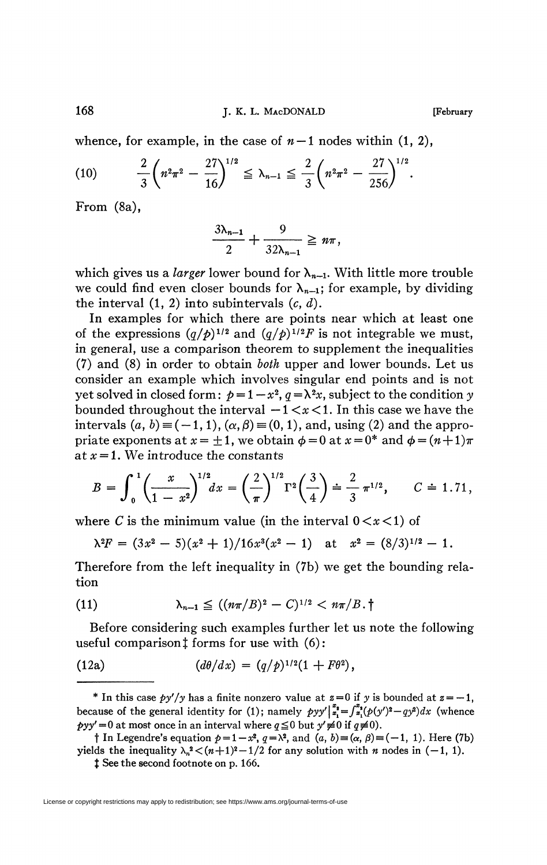whence, for example, in the case of  $n-1$  nodes within  $(1, 2)$ ,

(10) 
$$
\frac{2}{3}\left(n^2\pi^2-\frac{27}{16}\right)^{1/2}\leq \lambda_{n-1}\leq \frac{2}{3}\left(n^2\pi^2-\frac{27}{256}\right)^{1/2}.
$$

From (8a),

$$
\frac{3\lambda_{n-1}}{2}+\frac{9}{32\lambda_{n-1}}\geq n\pi,
$$

which gives us a *larger* lower bound for  $\lambda_{n-1}$ . With little more trouble we could find even closer bounds for  $\lambda_{n-1}$ ; for example, by dividing the interval (1, 2) into subintervals *(c, d).* 

In examples for which there are points near which at least one of the expressions  $(q/p)^{1/2}$  and  $(q/p)^{1/2}F$  is not integrable we must, in general, use a comparison theorem to supplement the inequalities (7) and (8) in order to obtain *both* upper and lower bounds. Let us consider an example which involves singular end points and is not yet solved in closed form:  $p=1-x^2$ ,  $q=\lambda^2x$ , subject to the condition y bounded throughout the interval  $-1 < x < 1$ . In this case we have the intervals  $(a, b) \equiv (-1, 1), (\alpha, \beta) \equiv (0, 1),$  and, using (2) and the appropriate exponents at  $x = +1$ , we obtain  $\phi = 0$  at  $x = 0^*$  and  $\phi = (n+1)\pi$ at *x =* 1. We introduce the constants

$$
B = \int_0^1 \left(\frac{x}{1-x^2}\right)^{1/2} dx = \left(\frac{2}{\pi}\right)^{1/2} \Gamma^2 \left(\frac{3}{4}\right) = \frac{2}{3} \pi^{1/2}, \qquad C = 1.71,
$$

where *C* is the minimum value (in the interval  $0 < x < 1$ ) of

$$
\lambda^2 F = (3x^2 - 5)(x^2 + 1)/16x^3(x^2 - 1) \quad \text{at} \quad x^2 = (8/3)^{1/2} - 1.
$$

Therefore from the left inequality in (7b) we get the bounding relation

(11) 
$$
\lambda_{n-1} \leq ((n\pi/B)^2 - C)^{1/2} < n\pi/B.\dagger
$$

Before considering such examples further let us note the following useful comparison  $1$  forms for use with  $(6)$ :

(12a) 
$$
(d\theta/dx) = (q/p)^{1/2}(1 + F\theta^2),
$$

\* In this case  $py'/y$  has a finite nonzero value at  $z=0$  if y is bounded at  $z=-1$ , because of the general identity for (1); namely  $pyy'\vert_{x_1}^{x_2} = \int_{x_1}^{x_2} (p(y')^2 - qy^2) dx$  (whence  $pyy' = 0$  at most once in an interval where  $q \le 0$  but  $y' \ne 0$  if  $q \ne 0$ ).

 $\dagger$  In Legendre's equation  $p=1-x^2$ ,  $q=\lambda^2$ , and  $(a, b) = (\alpha, \beta) = (-1, 1)$ . Here (7b) yields the inequality  $\lambda_n^2 < (n+1)^2 - 1/2$  for any solution with *n* nodes in (-1, 1).

 $\ddagger$  See the second footnote on p. 166.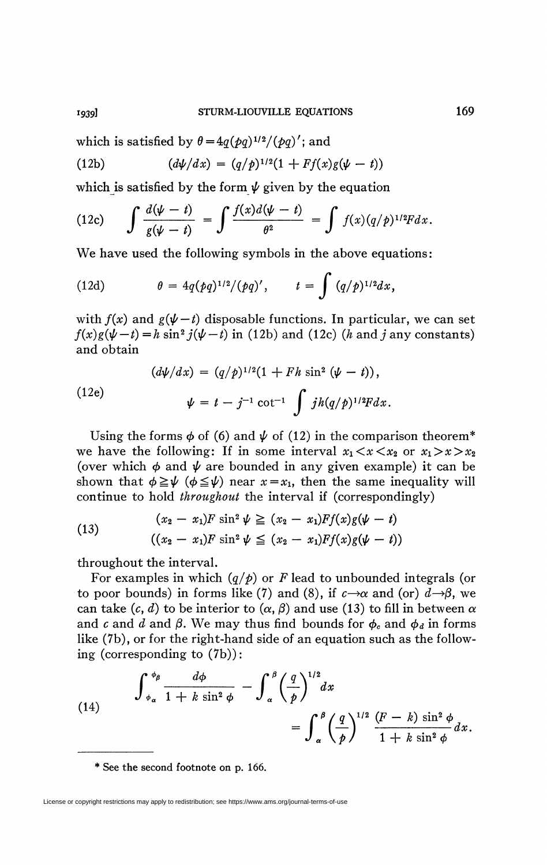which is satisfied by  $\theta = 4q(pq)^{1/2}/(pq)$ ; and

(12b) 
$$
(d\psi/dx) = (q/p)^{1/2}(1 + Ff(x)g(\psi - t))
$$

which is satisfied by the form  $\psi$  given by the equation

(12c) 
$$
\int \frac{d(\psi - t)}{g(\psi - t)} = \int \frac{f(x)d(\psi - t)}{\theta^2} = \int f(x)(q/\phi)^{1/2}F dx.
$$

We have used the following symbols in the above equations:

(12d) 
$$
\theta = 4q(pq)^{1/2}/(pq)', \qquad t = \int (q/p)^{1/2} dx,
$$

with  $f(x)$  and  $g(\psi - t)$  disposable functions. In particular, we can set  $f(x)g(\psi - t) = h \sin^2 j(\psi - t)$  in (12b) and (12c) (*h* and *j* any constants) and obtain

(12e)  
\n
$$
(d\psi/dx) = (q/p)^{1/2}(1 + Fh \sin^2 (\psi - t)),
$$
\n
$$
\psi = t - j^{-1} \cot^{-1} \int jh(q/p)^{1/2}F dx.
$$

Using the forms  $\phi$  of (6) and  $\psi$  of (12) in the comparison theorem<sup>\*</sup> we have the following: If in some interval  $x_1 < x < x_2$  or  $x_1 > x > x_2$ (over which  $\phi$  and  $\psi$  are bounded in any given example) it can be shown that  $\phi \geq \psi$  ( $\phi \leq \psi$ ) near  $x = x_1$ , then the same inequality will continue to hold *throughout* the interval if (correspondingly)

(13) 
$$
(x_2 - x_1)F \sin^2 \psi \ge (x_2 - x_1)Ff(x)g(\psi - t)
$$

$$
((x_2 - x_1)F \sin^2 \psi \le (x_2 - x_1)Ff(x)g(\psi - t))
$$

throughout the interval.

For examples in which *(q/p)* or *F* lead to unbounded integrals (or to poor bounds) in forms like (7) and (8), if  $c \rightarrow \alpha$  and (or)  $d \rightarrow \beta$ , we can take  $(c, d)$  to be interior to  $(\alpha, \beta)$  and use (13) to fill in between  $\alpha$ and *c* and *d* and  $\beta$ . We may thus find bounds for  $\phi_c$  and  $\phi_d$  in forms like (7b), or for the right-hand side of an equation such as the following (corresponding to (7b)):

(14) 
$$
\int_{\phi_{\alpha}}^{\phi_{\beta}} \frac{d\phi}{1 + k \sin^2 \phi} - \int_{\alpha}^{\beta} \left(\frac{q}{p}\right)^{1/2} dx = \int_{\alpha}^{\beta} \left(\frac{q}{p}\right)^{1/2} \frac{(F - k) \sin^2 \phi}{1 + k \sin^2 \phi} dx.
$$

*<sup>\*</sup>* **See the second footnote on p. 166.** 

License or copyright restrictions may apply to redistribution; see https://www.ams.org/journal-terms-of-use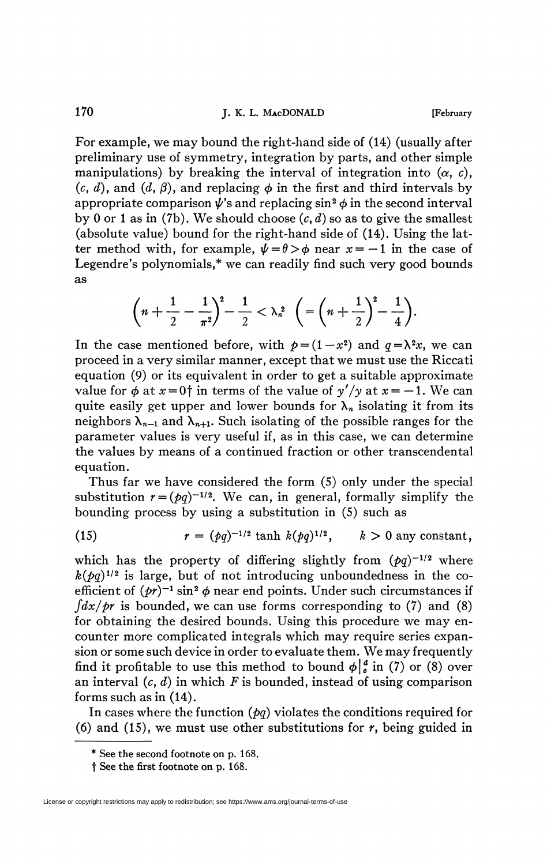For example, we may bound the right-hand side of (14) (usually after preliminary use of symmetry, integration by parts, and other simple manipulations) by breaking the interval of integration into  $(\alpha, c)$ ,  $(c, d)$ , and  $(d, \beta)$ , and replacing  $\phi$  in the first and third intervals by appropriate comparison  $\pmb{\psi}$ 's and replacing  $\sin^2\pmb{\phi}$  in the second interval by 0 or 1 as in (7b). We should choose  $(c, d)$  so as to give the smallest (absolute value) bound for the right-hand side of (14). Using the latter method with, for example,  $\psi = \theta > \phi$  near  $x = -1$  in the case of Legendre's polynomials,\* we can readily find such very good bounds as

$$
\left(n+\frac{1}{2}-\frac{1}{\pi^2}\right)^2-\frac{1}{2}<\lambda_n^2\quad \left(=\left(n+\frac{1}{2}\right)^2-\frac{1}{4}\right).
$$

In the case mentioned before, with  $p = (1 - x^2)$  and  $q = \lambda^2 x$ , we can proceed in a very similar manner, except that we must use the Riccati equation (9) or its equivalent in order to get a suitable approximate value for  $\phi$  at  $x = 0$ † in terms of the value of  $y'/y$  at  $x = -1$ . We can quite easily get upper and lower bounds for  $\lambda_n$  isolating it from its neighbors  $\lambda_{n-1}$  and  $\lambda_{n+1}$ . Such isolating of the possible ranges for the parameter values is very useful if, as in this case, we can determine the values by means of a continued fraction or other transcendental equation.

Thus far we have considered the form (5) only under the special substitution  $r = (pq)^{-1/2}$ . We can, in general, formally simplify the bounding process by using a substitution in (5) such as

(15) 
$$
r = (pq)^{-1/2} \tanh k(pq)^{1/2}, \quad k > 0
$$
 any constant,

which has the property of differing slightly from  $(pq)^{-1/2}$  where  $k(\rho q)^{1/2}$  is large, but of not introducing unboundedness in the coefficient of  $(pt)^{-1}$  sin<sup>2</sup>  $\phi$  near end points. Under such circumstances if  $\int dx / \rho r$  is bounded, we can use forms corresponding to (7) and (8) for obtaining the desired bounds. Using this procedure we may encounter more complicated integrals which may require series expansion or some such device in order to evaluate them. We may frequently find it profitable to use this method to bound  $\phi\begin{vmatrix} a \\ b \end{vmatrix}$  in (7) or (8) over an interval *(c, d)* in which *F* is bounded, instead of using comparison forms such as in (14).

In cases where the function  $(pq)$  violates the conditions required for (6) and (IS), we must use other substitutions for *r,* being guided in

<sup>\*</sup> See the second footnote on p. 168.

t See the first footnote on p. 168.